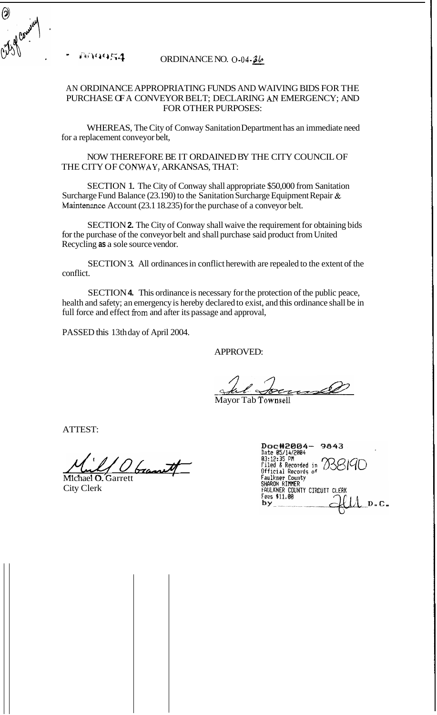1914454

 $\bigcirc$ 

## ORDINANCE NO. **0-04-&**

## AN ORDINANCE APPROPRIATING FUNDS AND WAIVING BIDS FOR THE PURCHASE OF A CONVEYOR BELT; DECLARING *AN* EMERGENCY; AND FOR OTHER PURPOSES:

WHEREAS, The City of Conway Sanitation Department has an immediate need for a replacement conveyor belt,

NOW THEREFORE BE IT ORDAINED BY THE CITY COUNCIL OF THE CITY OF CONWAY, ARKANSAS, THAT:

SECTION 1. The City of Conway shall appropriate \$50,000 from Sanitation Surcharge Fund Balance (23.190) to the Sanitation Surcharge Equipment Repair & Maintenance Account (23.1 18.235) for the purchase of a conveyor belt.

SECTION **2.** The City of Conway shall waive the requirement for obtaining bids for the purchase of the conveyor belt and shall purchase said product from United Recycling **as** a sole source vendor.

SECTION 3. All ordinances in conflict herewith are repealed to the extent of the conflict.

SECTION **4.** This ordinance is necessary for the protection of the public peace, health and safety; an emergency is hereby declared to exist, and this ordinance shall be in full force and effect fiom and after its passage and approval,

PASSED this 13th day of April 2004.

APPROVED:

Mayor Tab Townsell

ATTEST:

*&ow* \*

Michael O. Garrett City Clerk

Doc#2004-9843<br>
Date 05/14/2004<br>
03:12:35 PM<br>
Filed & Recorded in 286<br>
official Records of<br>
Faulkner County<br>
SHARON RIMMER<br>
FAULKNER COUNTY CIRCUIT CLERK<br>
Fest \$11.00 by  $D - C$ .